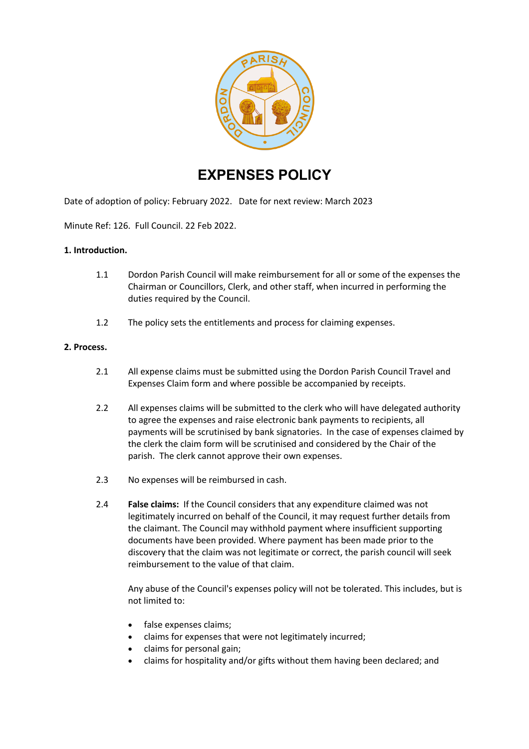

# **EXPENSES POLICY**

Date of adoption of policy: February 2022. Date for next review: March 2023

Minute Ref: 126. Full Council. 22 Feb 2022.

#### **1. Introduction.**

- 1.1 Dordon Parish Council will make reimbursement for all or some of the expenses the Chairman or Councillors, Clerk, and other staff, when incurred in performing the duties required by the Council.
- 1.2 The policy sets the entitlements and process for claiming expenses.

#### **2. Process.**

- 2.1 All expense claims must be submitted using the Dordon Parish Council Travel and Expenses Claim form and where possible be accompanied by receipts.
- 2.2 All expenses claims will be submitted to the clerk who will have delegated authority to agree the expenses and raise electronic bank payments to recipients, all payments will be scrutinised by bank signatories. In the case of expenses claimed by the clerk the claim form will be scrutinised and considered by the Chair of the parish. The clerk cannot approve their own expenses.
- 2.3 No expenses will be reimbursed in cash.
- 2.4 **False claims:** If the Council considers that any expenditure claimed was not legitimately incurred on behalf of the Council, it may request further details from the claimant. The Council may withhold payment where insufficient supporting documents have been provided. Where payment has been made prior to the discovery that the claim was not legitimate or correct, the parish council will seek reimbursement to the value of that claim.

Any abuse of the Council's expenses policy will not be tolerated. This includes, but is not limited to:

- false expenses claims;
- claims for expenses that were not legitimately incurred;
- claims for personal gain;
- claims for hospitality and/or gifts without them having been declared; and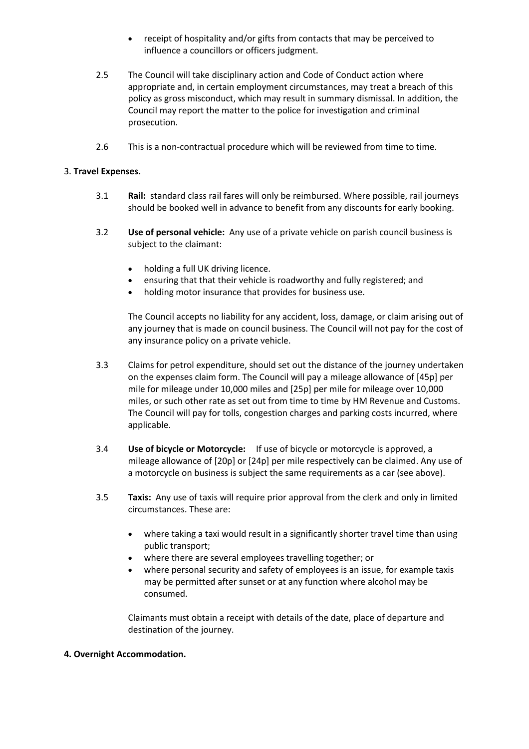- receipt of hospitality and/or gifts from contacts that may be perceived to influence a councillors or officers judgment.
- 2.5 The Council will take disciplinary action and Code of Conduct action where appropriate and, in certain employment circumstances, may treat a breach of this policy as gross misconduct, which may result in summary dismissal. In addition, the Council may report the matter to the police for investigation and criminal prosecution.
- 2.6 This is a non-contractual procedure which will be reviewed from time to time.

### 3. **Travel Expenses.**

- 3.1 **Rail:** standard class rail fares will only be reimbursed. Where possible, rail journeys should be booked well in advance to benefit from any discounts for early booking.
- 3.2 **Use of personal vehicle:** Any use of a private vehicle on parish council business is subject to the claimant:
	- holding a full UK driving licence.
	- ensuring that that their vehicle is roadworthy and fully registered; and
	- holding motor insurance that provides for business use.

The Council accepts no liability for any accident, loss, damage, or claim arising out of any journey that is made on council business. The Council will not pay for the cost of any insurance policy on a private vehicle.

- 3.3 Claims for petrol expenditure, should set out the distance of the journey undertaken on the expenses claim form. The Council will pay a mileage allowance of [45p] per mile for mileage under 10,000 miles and [25p] per mile for mileage over 10,000 miles, or such other rate as set out from time to time by HM Revenue and Customs. The Council will pay for tolls, congestion charges and parking costs incurred, where applicable.
- 3.4 **Use of bicycle or Motorcycle:** If use of bicycle or motorcycle is approved, a mileage allowance of [20p] or [24p] per mile respectively can be claimed. Any use of a motorcycle on business is subject the same requirements as a car (see above).
- 3.5 **Taxis:** Any use of taxis will require prior approval from the clerk and only in limited circumstances. These are:
	- where taking a taxi would result in a significantly shorter travel time than using public transport;
	- where there are several employees travelling together; or
	- where personal security and safety of employees is an issue, for example taxis may be permitted after sunset or at any function where alcohol may be consumed.

Claimants must obtain a receipt with details of the date, place of departure and destination of the journey.

#### **4. Overnight Accommodation.**